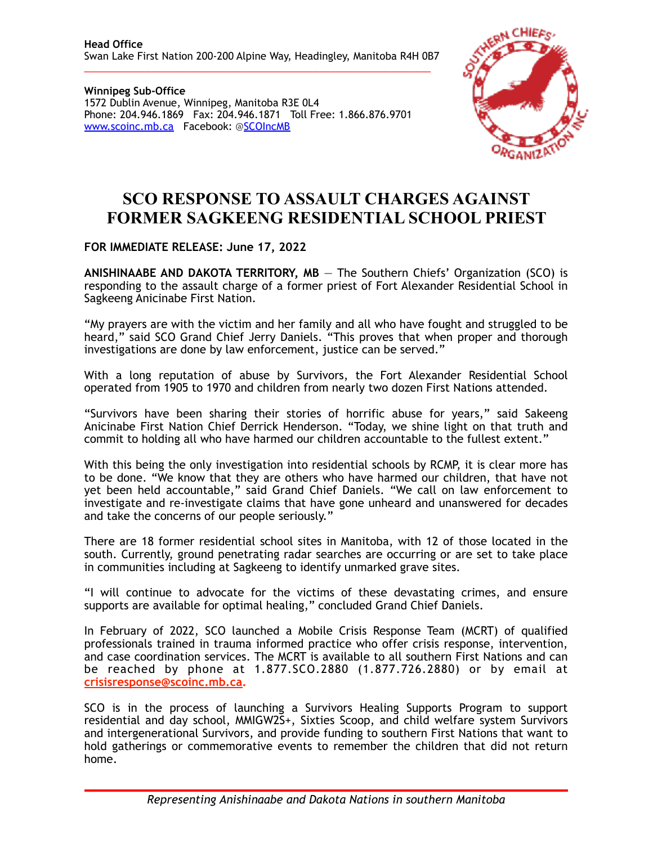\_\_\_\_\_\_\_\_\_\_\_\_\_\_\_\_\_\_\_\_\_\_\_\_\_\_\_\_\_\_\_\_\_\_\_\_\_\_\_\_\_\_\_\_\_\_\_\_\_\_\_\_\_\_\_\_\_\_\_\_\_\_

**Winnipeg Sub-Office** 1572 Dublin Avenue, Winnipeg, Manitoba R3E 0L4 Phone: 204.946.1869 Fax: 204.946.1871 Toll Free: 1.866.876.9701 [www.scoinc.mb.ca](http://www.scoinc.mb.ca) Facebook: @[SCOIncMB](https://www.facebook.com/SCOIncMB/)



## **SCO RESPONSE TO ASSAULT CHARGES AGAINST FORMER SAGKEENG RESIDENTIAL SCHOOL PRIEST**

**FOR IMMEDIATE RELEASE: June 17, 2022** 

**ANISHINAABE AND DAKOTA TERRITORY, MB** — The Southern Chiefs' Organization (SCO) is responding to the assault charge of a former priest of Fort Alexander Residential School in Sagkeeng Anicinabe First Nation.

"My prayers are with the victim and her family and all who have fought and struggled to be heard," said SCO Grand Chief Jerry Daniels. "This proves that when proper and thorough investigations are done by law enforcement, justice can be served."

With a long reputation of abuse by Survivors, the Fort Alexander Residential School operated from 1905 to 1970 and children from nearly two dozen First Nations attended.

"Survivors have been sharing their stories of horrific abuse for years," said Sakeeng Anicinabe First Nation Chief Derrick Henderson. "Today, we shine light on that truth and commit to holding all who have harmed our children accountable to the fullest extent."

With this being the only investigation into residential schools by RCMP, it is clear more has to be done. "We know that they are others who have harmed our children, that have not yet been held accountable," said Grand Chief Daniels. "We call on law enforcement to investigate and re-investigate claims that have gone unheard and unanswered for decades and take the concerns of our people seriously."

There are 18 former residential school sites in Manitoba, with 12 of those located in the south. Currently, ground penetrating radar searches are occurring or are set to take place in communities including at Sagkeeng to identify unmarked grave sites.

"I will continue to advocate for the victims of these devastating crimes, and ensure supports are available for optimal healing," concluded Grand Chief Daniels.

In February of 2022, SCO launched a Mobile Crisis Response Team (MCRT) of qualified professionals trained in trauma informed practice who offer crisis response, intervention, and case coordination services. The MCRT is available to all southern First Nations and can be reached by phone at 1.877.SCO.2880 (1.877.726.2880) or by email at **[crisisresponse@scoinc.mb.ca](mailto:crisisresponse@scoinc.mb.ca).**

SCO is in the process of launching a Survivors Healing Supports Program to support residential and day school, MMIGW2S+, Sixties Scoop, and child welfare system Survivors and intergenerational Survivors, and provide funding to southern First Nations that want to hold gatherings or commemorative events to remember the children that did not return home.